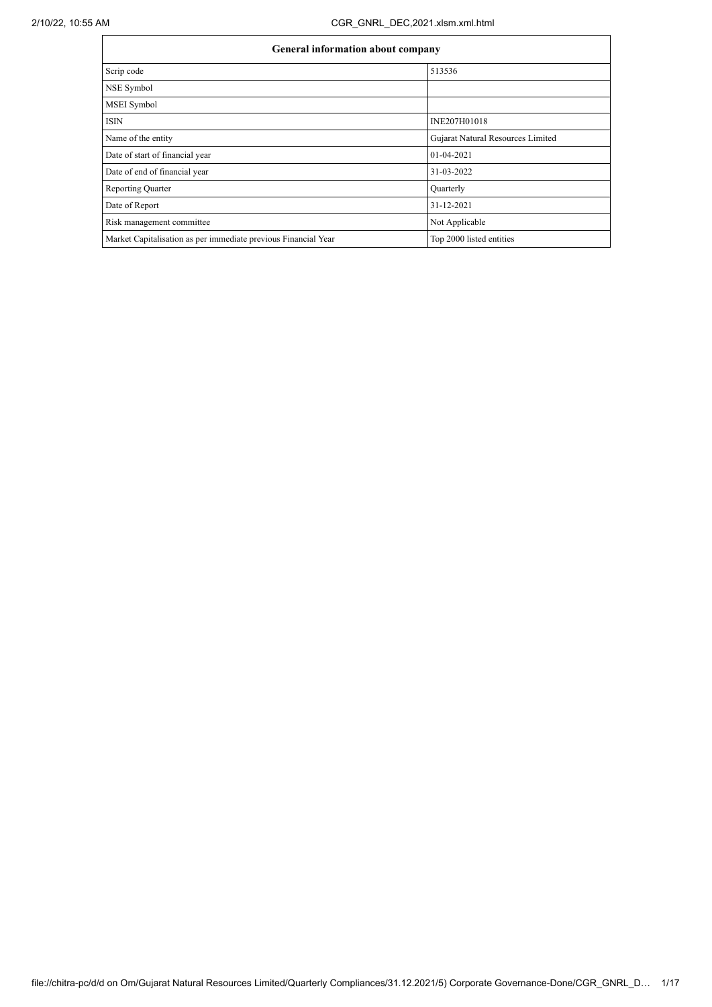| <b>General information about company</b>                       |                                   |
|----------------------------------------------------------------|-----------------------------------|
| Scrip code                                                     | 513536                            |
| NSE Symbol                                                     |                                   |
| <b>MSEI</b> Symbol                                             |                                   |
| <b>ISIN</b>                                                    | INE207H01018                      |
| Name of the entity                                             | Gujarat Natural Resources Limited |
| Date of start of financial year                                | 01-04-2021                        |
| Date of end of financial year                                  | 31-03-2022                        |
| <b>Reporting Quarter</b>                                       | Quarterly                         |
| Date of Report                                                 | 31-12-2021                        |
| Risk management committee                                      | Not Applicable                    |
| Market Capitalisation as per immediate previous Financial Year | Top 2000 listed entities          |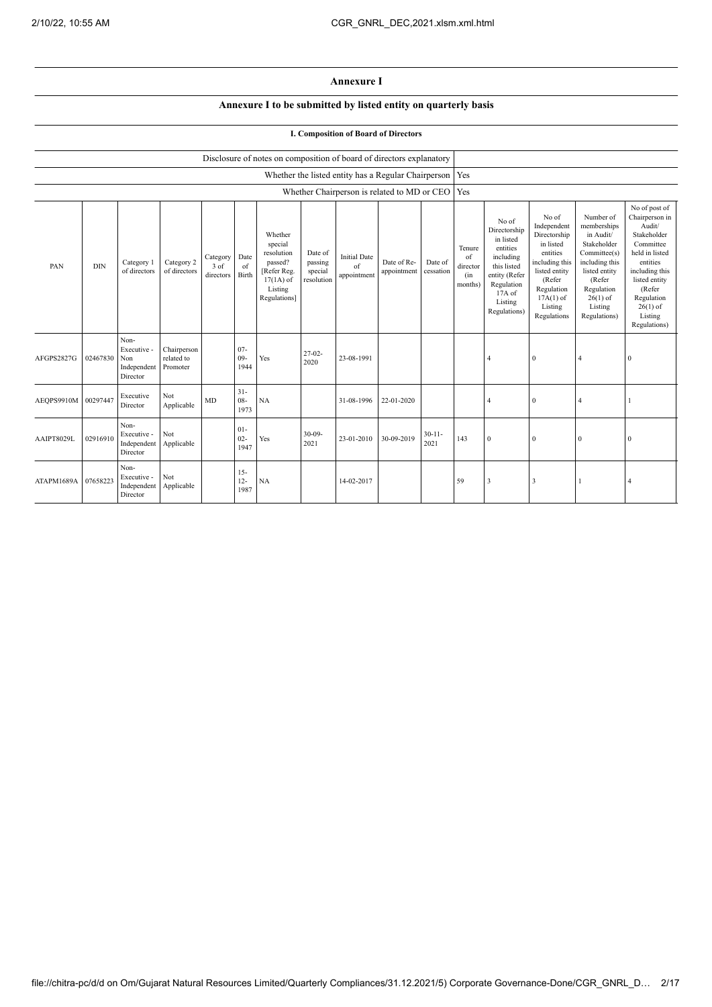## **Annexure I**

## **Annexure I to be submitted by listed entity on quarterly basis**

## **I. Composition of Board of Directors**

|                     |            |                                                       |                                       |                               |                          | Disclosure of notes on composition of board of directors explanatory                                 |                                             |                                          |                                                     |                      |                                            |                                                                                                                                                |                                                                                                                                                                   |                                                                                                                                                                          |                                                                                                                                                                                                         |
|---------------------|------------|-------------------------------------------------------|---------------------------------------|-------------------------------|--------------------------|------------------------------------------------------------------------------------------------------|---------------------------------------------|------------------------------------------|-----------------------------------------------------|----------------------|--------------------------------------------|------------------------------------------------------------------------------------------------------------------------------------------------|-------------------------------------------------------------------------------------------------------------------------------------------------------------------|--------------------------------------------------------------------------------------------------------------------------------------------------------------------------|---------------------------------------------------------------------------------------------------------------------------------------------------------------------------------------------------------|
|                     |            |                                                       |                                       |                               |                          |                                                                                                      |                                             |                                          | Whether the listed entity has a Regular Chairperson |                      | Yes                                        |                                                                                                                                                |                                                                                                                                                                   |                                                                                                                                                                          |                                                                                                                                                                                                         |
|                     |            |                                                       |                                       |                               |                          |                                                                                                      |                                             |                                          | Whether Chairperson is related to MD or CEO         |                      | Yes                                        |                                                                                                                                                |                                                                                                                                                                   |                                                                                                                                                                          |                                                                                                                                                                                                         |
| PAN                 | <b>DIN</b> | Category 1<br>of directors                            | Category 2<br>of directors            | Category<br>3 of<br>directors | Date<br>of<br>Birth      | Whether<br>special<br>resolution<br>passed?<br>[Refer Reg.<br>$17(1A)$ of<br>Listing<br>Regulations] | Date of<br>passing<br>special<br>resolution | <b>Initial Date</b><br>of<br>appointment | Date of Re-<br>appointment                          | Date of<br>cessation | Tenure<br>of<br>director<br>(in<br>months) | No of<br>Directorship<br>in listed<br>entities<br>including<br>this listed<br>entity (Refer<br>Regulation<br>17A of<br>Listing<br>Regulations) | No of<br>Independent<br>Directorship<br>in listed<br>entities<br>including this<br>listed entity<br>(Refer<br>Regulation<br>$17A(1)$ of<br>Listing<br>Regulations | Number of<br>memberships<br>in Audit/<br>Stakeholder<br>Committee(s)<br>including this<br>listed entity<br>(Refer<br>Regulation<br>$26(1)$ of<br>Listing<br>Regulations) | No of post of<br>Chairperson in<br>Audit/<br>Stakeholder<br>Committee<br>held in listed<br>entities<br>including this<br>listed entity<br>(Refer<br>Regulation<br>$26(1)$ of<br>Listing<br>Regulations) |
| AFGPS2827G          | 02467830   | Non-<br>Executive -<br>Non<br>Independent<br>Director | Chairperson<br>related to<br>Promoter |                               | $07 -$<br>$09 -$<br>1944 | Yes                                                                                                  | $27-02-$<br>2020                            | 23-08-1991                               |                                                     |                      |                                            | $\overline{4}$                                                                                                                                 | $\mathbf{0}$                                                                                                                                                      | $\overline{4}$                                                                                                                                                           | $\theta$                                                                                                                                                                                                |
| AEOPS9910M 00297447 |            | Executive<br>Director                                 | Not<br>Applicable                     | MD                            | $31 -$<br>$08 -$<br>1973 | NA                                                                                                   |                                             | 31-08-1996                               | 22-01-2020                                          |                      |                                            | $\overline{4}$                                                                                                                                 | $\mathbf{0}$                                                                                                                                                      | $\overline{4}$                                                                                                                                                           |                                                                                                                                                                                                         |
| AAIPT8029L          | 02916910   | Non-<br>Executive -<br>Independent<br>Director        | Not<br>Applicable                     |                               | $01 -$<br>$02 -$<br>1947 | Yes                                                                                                  | $30 - 09 -$<br>2021                         | 23-01-2010                               | 30-09-2019                                          | $30 - 11 -$<br>2021  | 143                                        | $\theta$                                                                                                                                       | $\mathbf{0}$                                                                                                                                                      | $\mathbf{0}$                                                                                                                                                             | $\mathbf{0}$                                                                                                                                                                                            |
| ATAPM1689A          | 07658223   | Non-<br>Executive -<br>Independent<br>Director        | Not<br>Applicable                     |                               | $15 -$<br>$12 -$<br>1987 | NA                                                                                                   |                                             | 14-02-2017                               |                                                     |                      | 59                                         | $\overline{\mathbf{3}}$                                                                                                                        | 3                                                                                                                                                                 |                                                                                                                                                                          | $\overline{4}$                                                                                                                                                                                          |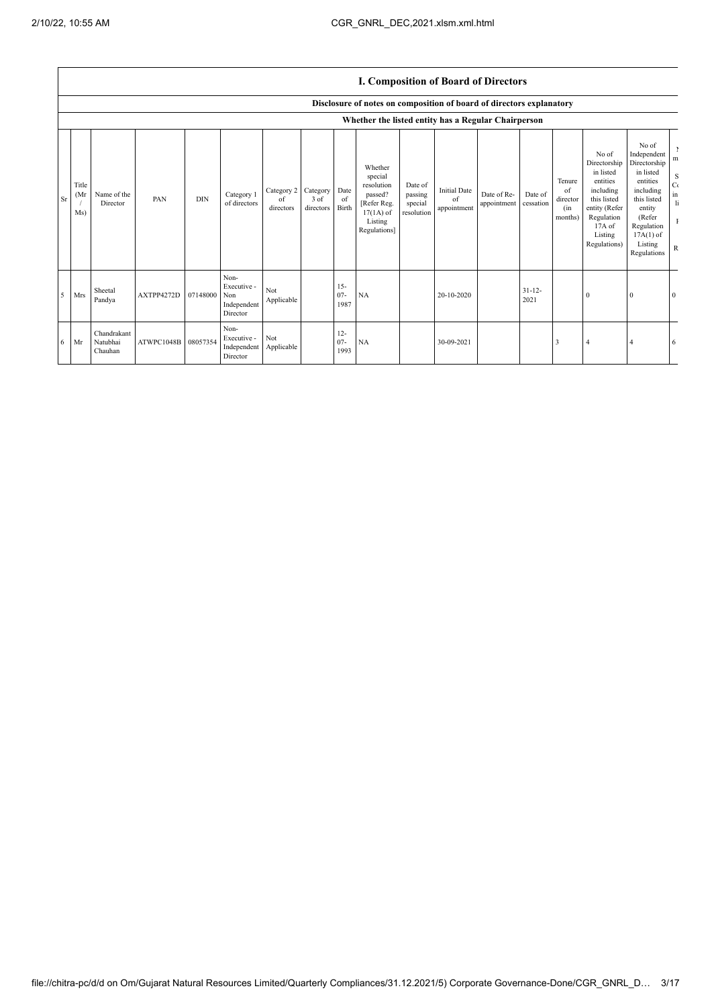I

|    |                                                     | <b>I. Composition of Board of Directors</b> |                     |            |                                                       |                               |                               |                          |                                                                                                      |                                             |                                          |                            |                      |                                            |                                                                                                                                                  |                                                                                                                                                                      |                                                                         |
|----|-----------------------------------------------------|---------------------------------------------|---------------------|------------|-------------------------------------------------------|-------------------------------|-------------------------------|--------------------------|------------------------------------------------------------------------------------------------------|---------------------------------------------|------------------------------------------|----------------------------|----------------------|--------------------------------------------|--------------------------------------------------------------------------------------------------------------------------------------------------|----------------------------------------------------------------------------------------------------------------------------------------------------------------------|-------------------------------------------------------------------------|
|    |                                                     |                                             |                     |            |                                                       |                               |                               |                          | Disclosure of notes on composition of board of directors explanatory                                 |                                             |                                          |                            |                      |                                            |                                                                                                                                                  |                                                                                                                                                                      |                                                                         |
|    | Whether the listed entity has a Regular Chairperson |                                             |                     |            |                                                       |                               |                               |                          |                                                                                                      |                                             |                                          |                            |                      |                                            |                                                                                                                                                  |                                                                                                                                                                      |                                                                         |
| Sr | Title<br>(Mr)<br>Ms)                                | Name of the<br>Director                     | PAN                 | <b>DIN</b> | Category 1<br>of directors                            | Category 2<br>of<br>directors | Category<br>3 of<br>directors | Date<br>of<br>Birth      | Whether<br>special<br>resolution<br>passed?<br>[Refer Reg.<br>$17(1A)$ of<br>Listing<br>Regulations] | Date of<br>passing<br>special<br>resolution | <b>Initial Date</b><br>of<br>appointment | Date of Re-<br>appointment | Date of<br>cessation | Tenure<br>of<br>director<br>(in<br>months) | No of<br>Directorship<br>in listed<br>entities<br>including<br>this listed<br>entity (Refer<br>Regulation<br>$17A$ of<br>Listing<br>Regulations) | No of<br>Independent<br>Directorship<br>in listed<br>entities<br>including<br>this listed<br>entity<br>(Refer<br>Regulation<br>$17A(1)$ of<br>Listing<br>Regulations | m<br>S<br>C(<br>$\,$ in<br>$\mathbf{h}$<br>$\mathbf{I}$<br>$\mathbb{R}$ |
| 5  | Mrs                                                 | Sheetal<br>Pandya                           | AXTPP4272D          | 07148000   | Non-<br>Executive -<br>Non<br>Independent<br>Director | Not<br>Applicable             |                               | $15 -$<br>$07 -$<br>1987 | NA                                                                                                   |                                             | 20-10-2020                               |                            | $31 - 12 -$<br>2021  |                                            | $\Omega$                                                                                                                                         | $\Omega$                                                                                                                                                             | $\Omega$                                                                |
| 6  | Mr                                                  | Chandrakant<br>Natubhai<br>Chauhan          | ATWPC1048B 08057354 |            | Non-<br>Executive -<br>Independent<br>Director        | Not<br>Applicable             |                               | $12 -$<br>$07 -$<br>1993 | NA                                                                                                   |                                             | 30-09-2021                               |                            |                      | 3                                          |                                                                                                                                                  |                                                                                                                                                                      | 6                                                                       |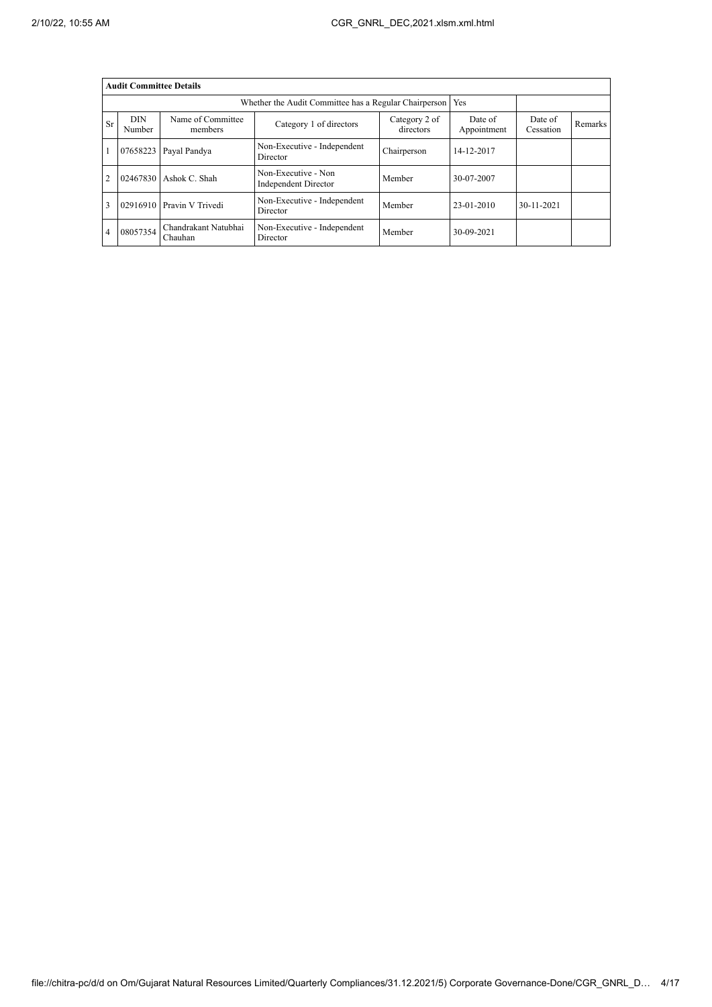|                | <b>Audit Committee Details</b> |                                 |                                                       |                            |                        |                      |                |
|----------------|--------------------------------|---------------------------------|-------------------------------------------------------|----------------------------|------------------------|----------------------|----------------|
|                |                                |                                 | Whether the Audit Committee has a Regular Chairperson |                            | Yes                    |                      |                |
| <b>Sr</b>      | <b>DIN</b><br>Number           | Name of Committee<br>members    | Category 1 of directors                               | Category 2 of<br>directors | Date of<br>Appointment | Date of<br>Cessation | <b>Remarks</b> |
|                | 07658223                       | Payal Pandya                    | Non-Executive - Independent<br>Director               | Chairperson                | 14-12-2017             |                      |                |
| $\overline{2}$ | 02467830                       | Ashok C. Shah                   | Non-Executive - Non<br><b>Independent Director</b>    | Member                     | 30-07-2007             |                      |                |
| 3              | 02916910                       | Pravin V Trivedi                | Non-Executive - Independent<br>Director               | Member                     | 23-01-2010             | 30-11-2021           |                |
| 4              | 08057354                       | Chandrakant Natubhai<br>Chauhan | Non-Executive - Independent<br>Director               | Member                     | 30-09-2021             |                      |                |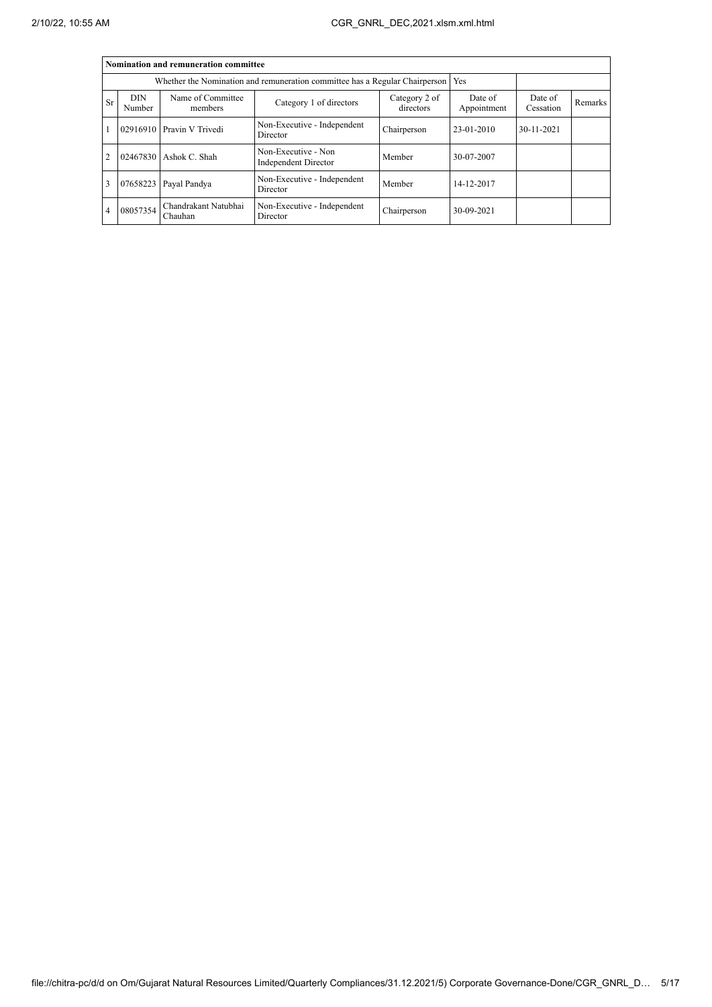|                | Nomination and remuneration committee |                                 |                                                                             |                            |                        |                      |                |  |  |  |  |
|----------------|---------------------------------------|---------------------------------|-----------------------------------------------------------------------------|----------------------------|------------------------|----------------------|----------------|--|--|--|--|
|                |                                       |                                 | Whether the Nomination and remuneration committee has a Regular Chairperson |                            | Yes                    |                      |                |  |  |  |  |
| <b>Sr</b>      | <b>DIN</b><br>Number                  | Name of Committee<br>members    | Category 1 of directors                                                     | Category 2 of<br>directors | Date of<br>Appointment | Date of<br>Cessation | <b>Remarks</b> |  |  |  |  |
|                |                                       | 02916910 Pravin V Trivedi       | Non-Executive - Independent<br>Director                                     | Chairperson                | 23-01-2010             | 30-11-2021           |                |  |  |  |  |
| $\overline{2}$ |                                       | 02467830 Ashok C. Shah          | Non-Executive - Non<br><b>Independent Director</b>                          | Member                     | 30-07-2007             |                      |                |  |  |  |  |
| 3              | 07658223                              | Payal Pandya                    | Non-Executive - Independent<br>Director                                     | Member                     | 14-12-2017             |                      |                |  |  |  |  |
| $\overline{4}$ | 08057354                              | Chandrakant Natubhai<br>Chauhan | Non-Executive - Independent<br>Director                                     | Chairperson                | 30-09-2021             |                      |                |  |  |  |  |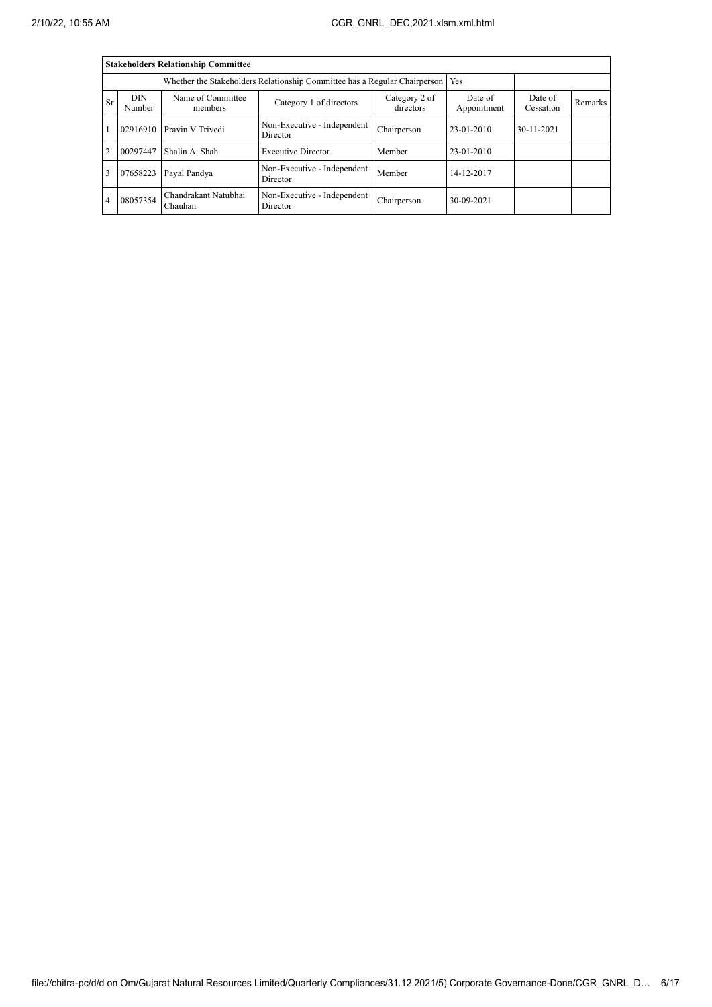|                |                      | <b>Stakeholders Relationship Committee</b> |                                                                           |                      |                |                  |  |
|----------------|----------------------|--------------------------------------------|---------------------------------------------------------------------------|----------------------|----------------|------------------|--|
|                |                      |                                            | Whether the Stakeholders Relationship Committee has a Regular Chairperson |                      | Yes            |                  |  |
| Sr             | <b>DIN</b><br>Number | Name of Committee<br>members               | Date of<br>Appointment                                                    | Date of<br>Cessation | <b>Remarks</b> |                  |  |
|                | 02916910             | Pravin V Trivedi                           | Non-Executive - Independent<br>Director                                   | Chairperson          | 23-01-2010     | $30 - 11 - 2021$ |  |
| $\overline{2}$ | 00297447             | Shalin A. Shah                             | <b>Executive Director</b>                                                 | Member               | 23-01-2010     |                  |  |
| 3              | 07658223             | Payal Pandya                               | Non-Executive - Independent<br>Director                                   | Member               | 14-12-2017     |                  |  |
| 4              | 08057354             | Chandrakant Natubhai<br>Chauhan            | Non-Executive - Independent<br>Director                                   | Chairperson          | 30-09-2021     |                  |  |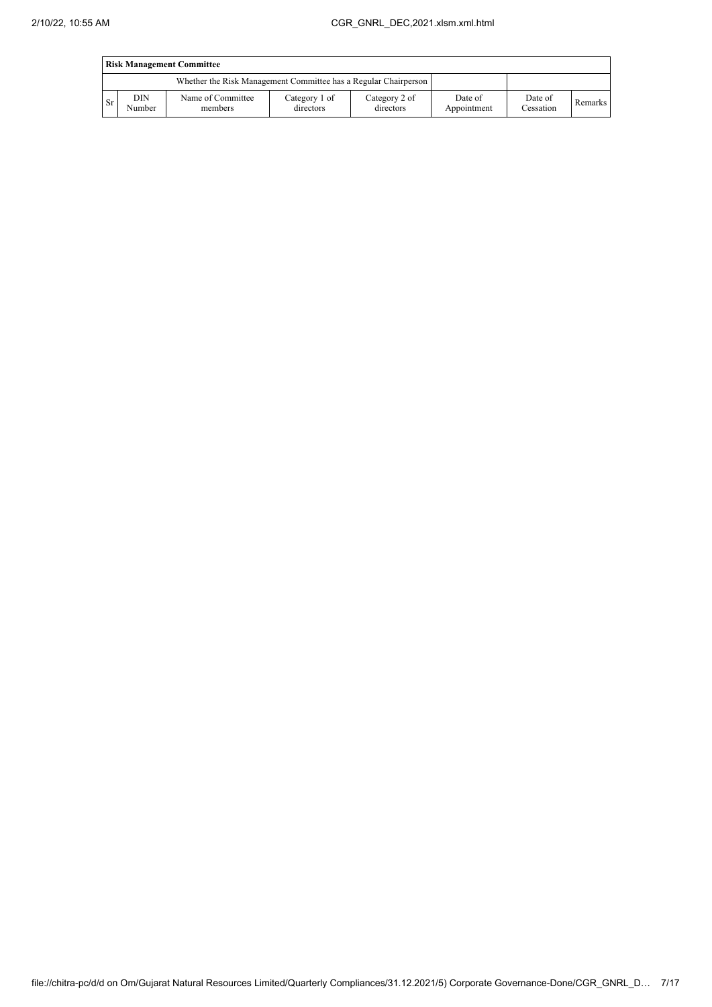|      | <b>Risk Management Committee</b> |                                                                 |                            |                            |                        |                      |         |  |  |  |  |
|------|----------------------------------|-----------------------------------------------------------------|----------------------------|----------------------------|------------------------|----------------------|---------|--|--|--|--|
|      |                                  | Whether the Risk Management Committee has a Regular Chairperson |                            |                            |                        |                      |         |  |  |  |  |
| l Sr | DIN<br>Number                    | Name of Committee<br>members                                    | Category 1 of<br>directors | Category 2 of<br>directors | Date of<br>Appointment | Date of<br>Cessation | Remarks |  |  |  |  |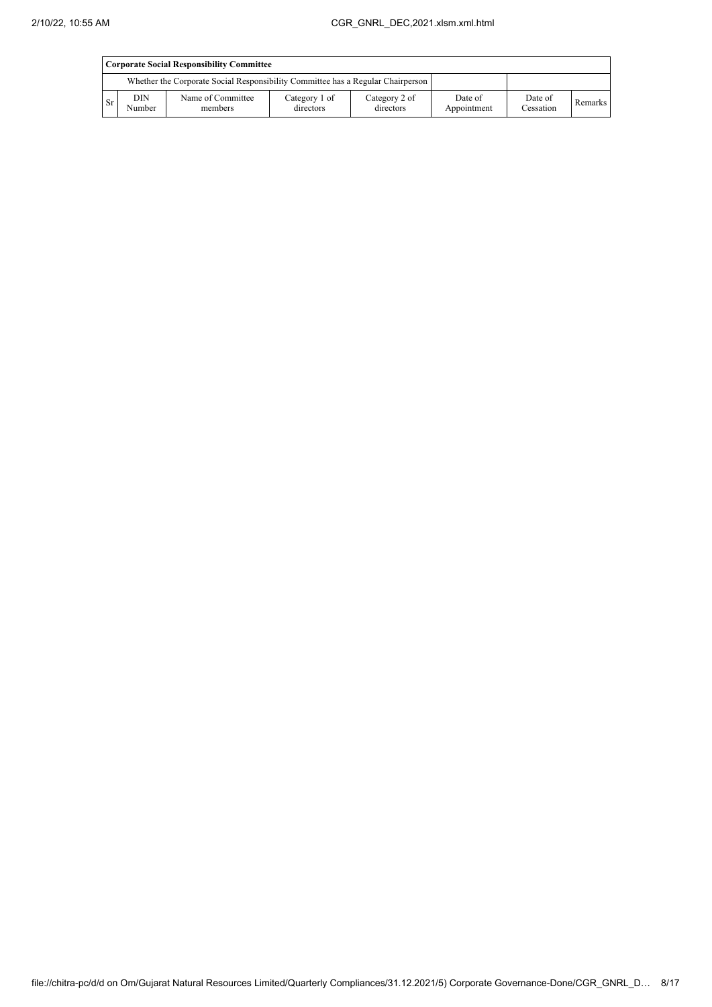|           | Corporate Social Responsibility Committee                                       |                              |                            |                            |                        |                      |         |  |  |  |  |
|-----------|---------------------------------------------------------------------------------|------------------------------|----------------------------|----------------------------|------------------------|----------------------|---------|--|--|--|--|
|           | Whether the Corporate Social Responsibility Committee has a Regular Chairperson |                              |                            |                            |                        |                      |         |  |  |  |  |
| <b>Sr</b> | DIN.<br>Number                                                                  | Name of Committee<br>members | Category 1 of<br>directors | Category 2 of<br>directors | Date of<br>Appointment | Date of<br>Cessation | Remarks |  |  |  |  |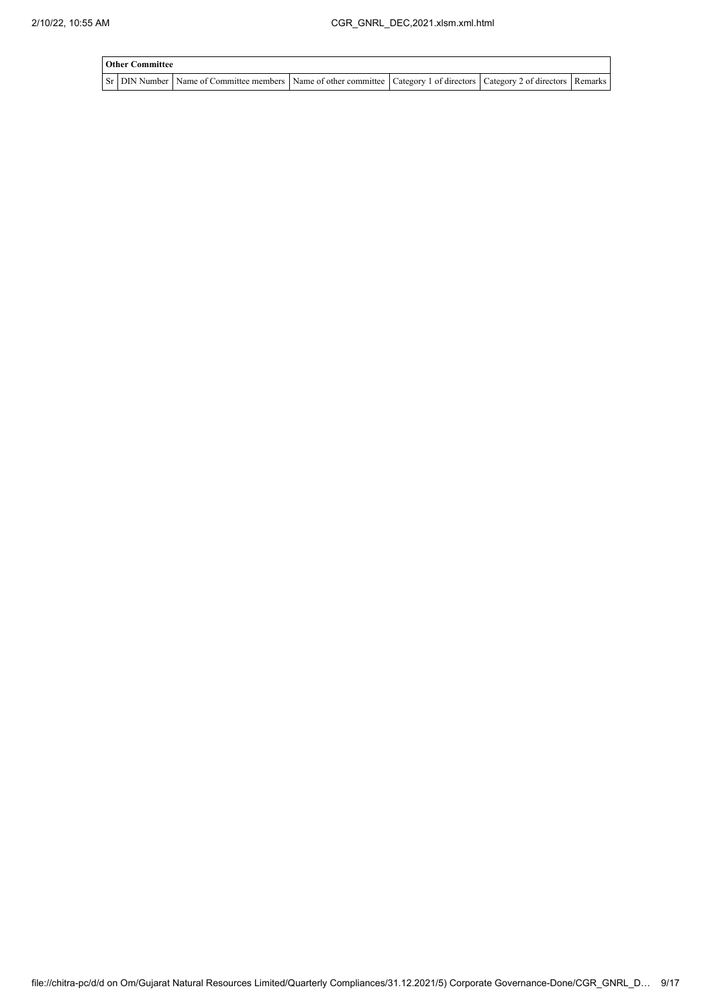| <b>Other Committee</b> |                                                                                                                                     |  |  |  |  |  |  |  |  |  |  |
|------------------------|-------------------------------------------------------------------------------------------------------------------------------------|--|--|--|--|--|--|--|--|--|--|
|                        | Sr   DIN Number   Name of Committee members   Name of other committee   Category 1 of directors   Category 2 of directors   Remarks |  |  |  |  |  |  |  |  |  |  |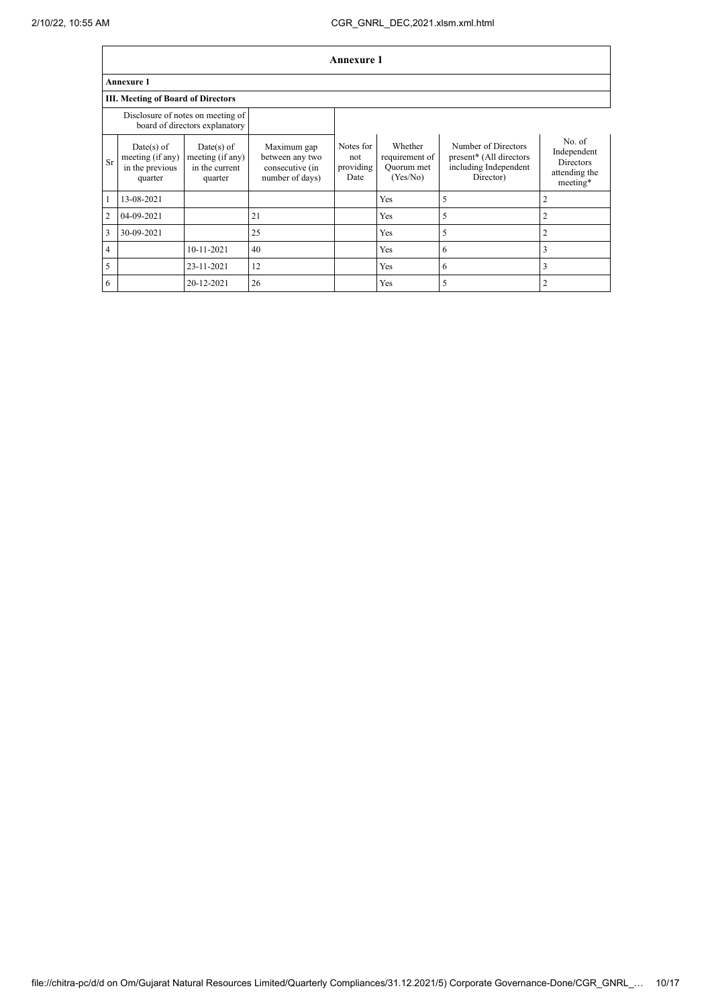|                | Annexure 1                                                          |                                                               |                                                                      |                                       |                                                     |                                                                                      |                                                                        |  |  |  |  |
|----------------|---------------------------------------------------------------------|---------------------------------------------------------------|----------------------------------------------------------------------|---------------------------------------|-----------------------------------------------------|--------------------------------------------------------------------------------------|------------------------------------------------------------------------|--|--|--|--|
|                | Annexure 1                                                          |                                                               |                                                                      |                                       |                                                     |                                                                                      |                                                                        |  |  |  |  |
|                | <b>III. Meeting of Board of Directors</b>                           |                                                               |                                                                      |                                       |                                                     |                                                                                      |                                                                        |  |  |  |  |
|                | Disclosure of notes on meeting of<br>board of directors explanatory |                                                               |                                                                      |                                       |                                                     |                                                                                      |                                                                        |  |  |  |  |
| <b>Sr</b>      | $Date(s)$ of<br>meeting (if any)<br>in the previous<br>quarter      | $Date(s)$ of<br>meeting (if any)<br>in the current<br>quarter | Maximum gap<br>between any two<br>consecutive (in<br>number of days) | Notes for<br>not<br>providing<br>Date | Whether<br>requirement of<br>Ouorum met<br>(Yes/No) | Number of Directors<br>present* (All directors<br>including Independent<br>Director) | No. of<br>Independent<br><b>Directors</b><br>attending the<br>meeting* |  |  |  |  |
|                | 13-08-2021                                                          |                                                               |                                                                      |                                       | Yes                                                 | 5                                                                                    | 2                                                                      |  |  |  |  |
| $\overline{2}$ | 04-09-2021                                                          |                                                               | 21                                                                   |                                       | Yes                                                 | 5                                                                                    | 2                                                                      |  |  |  |  |
| 3              | 30-09-2021                                                          |                                                               | 25                                                                   |                                       | Yes                                                 | 5                                                                                    | $\overline{2}$                                                         |  |  |  |  |
| 4              |                                                                     | 10-11-2021                                                    | 40                                                                   |                                       | Yes                                                 | 6                                                                                    | 3                                                                      |  |  |  |  |
| 5              |                                                                     | 23-11-2021                                                    | 12                                                                   |                                       | Yes                                                 | 6                                                                                    | 3                                                                      |  |  |  |  |
| 6              |                                                                     | 20-12-2021                                                    | 26                                                                   |                                       | Yes                                                 | 5                                                                                    | 2                                                                      |  |  |  |  |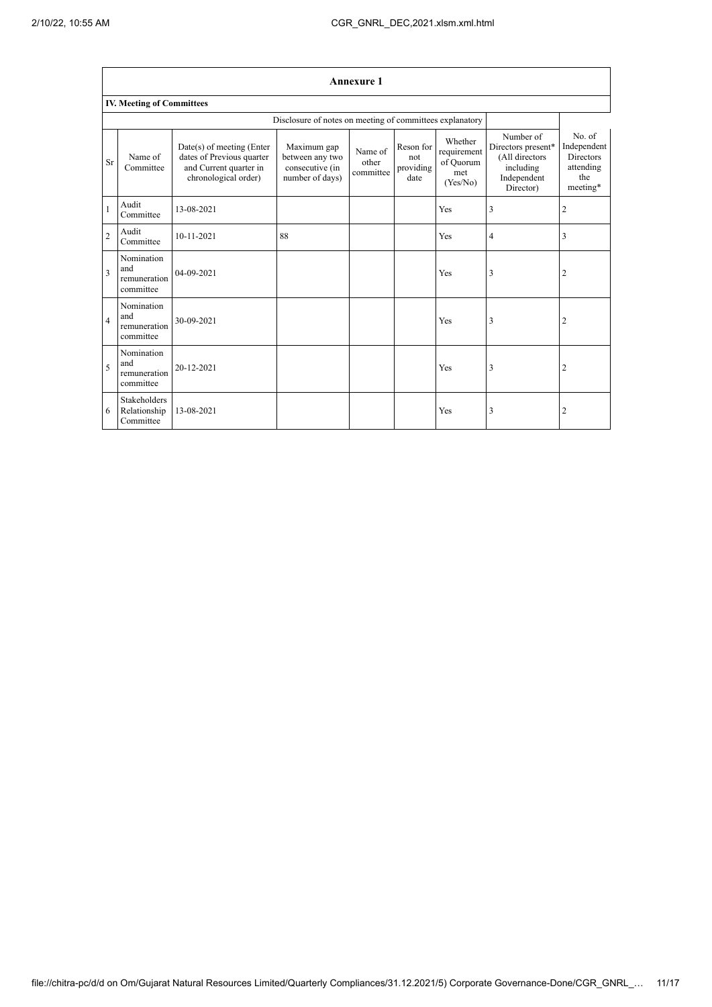|                         | <b>Annexure 1</b>                              |                                                                                                            |                                                                      |                               |                                       |                                                        |                                                                                            |                                                                           |  |  |  |
|-------------------------|------------------------------------------------|------------------------------------------------------------------------------------------------------------|----------------------------------------------------------------------|-------------------------------|---------------------------------------|--------------------------------------------------------|--------------------------------------------------------------------------------------------|---------------------------------------------------------------------------|--|--|--|
|                         | <b>IV. Meeting of Committees</b>               |                                                                                                            |                                                                      |                               |                                       |                                                        |                                                                                            |                                                                           |  |  |  |
|                         |                                                | Disclosure of notes on meeting of committees explanatory                                                   |                                                                      |                               |                                       |                                                        |                                                                                            |                                                                           |  |  |  |
| Sr                      | Name of<br>Committee                           | $Date(s)$ of meeting (Enter<br>dates of Previous quarter<br>and Current quarter in<br>chronological order) | Maximum gap<br>between any two<br>consecutive (in<br>number of days) | Name of<br>other<br>committee | Reson for<br>not<br>providing<br>date | Whether<br>requirement<br>of Quorum<br>met<br>(Yes/No) | Number of<br>Directors present*<br>(All directors<br>including<br>Independent<br>Director) | No. of<br>Independent<br><b>Directors</b><br>attending<br>the<br>meeting* |  |  |  |
| $\mathbf{1}$            | Audit<br>Committee                             | 13-08-2021                                                                                                 |                                                                      |                               |                                       | Yes                                                    | 3                                                                                          | $\overline{2}$                                                            |  |  |  |
| $\overline{c}$          | Audit<br>Committee                             | 10-11-2021                                                                                                 | 88                                                                   |                               |                                       | Yes                                                    | 4                                                                                          | 3                                                                         |  |  |  |
| $\overline{\mathbf{3}}$ | Nomination<br>and<br>remuneration<br>committee | $04 - 09 - 2021$                                                                                           |                                                                      |                               |                                       | Yes                                                    | 3                                                                                          | $\overline{2}$                                                            |  |  |  |
| $\overline{4}$          | Nomination<br>and<br>remuneration<br>committee | 30-09-2021                                                                                                 |                                                                      |                               |                                       | Yes                                                    | 3                                                                                          | $\overline{2}$                                                            |  |  |  |
| 5                       | Nomination<br>and<br>remuneration<br>committee | 20-12-2021                                                                                                 |                                                                      |                               |                                       | Yes                                                    | 3                                                                                          | $\overline{2}$                                                            |  |  |  |
| 6                       | Stakeholders<br>Relationship<br>Committee      | 13-08-2021                                                                                                 |                                                                      |                               |                                       | Yes                                                    | 3                                                                                          | $\overline{2}$                                                            |  |  |  |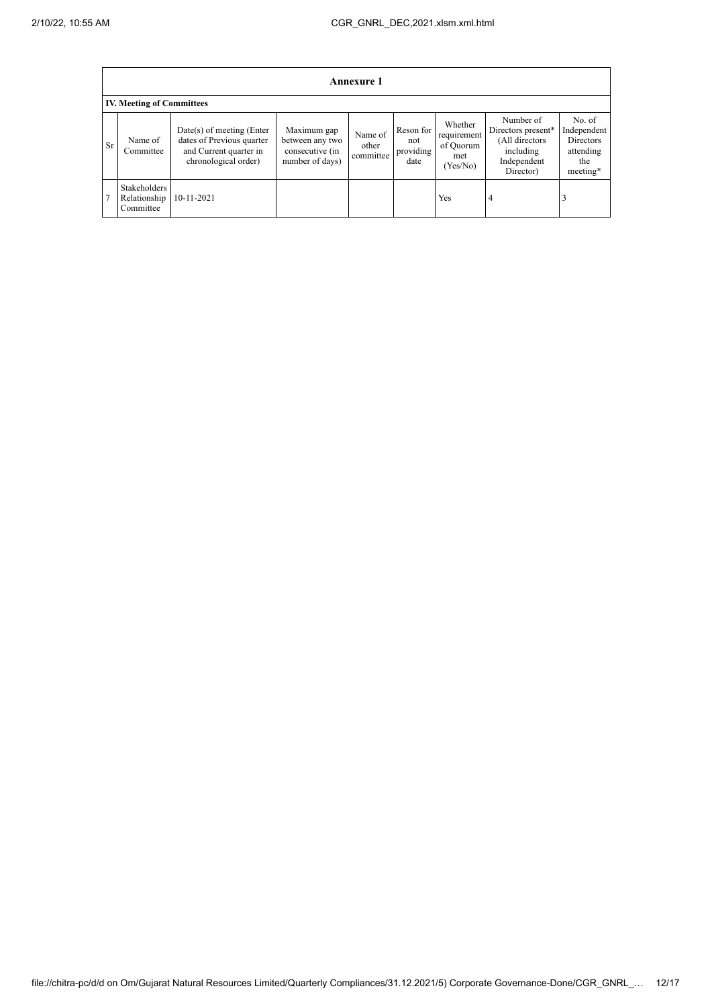|           | <b>Annexure 1</b>                                |                                                                                                            |                                                                      |                               |                                       |                                                       |                                                                                            |                                                                           |  |  |  |  |
|-----------|--------------------------------------------------|------------------------------------------------------------------------------------------------------------|----------------------------------------------------------------------|-------------------------------|---------------------------------------|-------------------------------------------------------|--------------------------------------------------------------------------------------------|---------------------------------------------------------------------------|--|--|--|--|
|           | <b>IV. Meeting of Committees</b>                 |                                                                                                            |                                                                      |                               |                                       |                                                       |                                                                                            |                                                                           |  |  |  |  |
| <b>Sr</b> | Name of<br>Committee                             | $Date(s)$ of meeting (Enter<br>dates of Previous quarter<br>and Current quarter in<br>chronological order) | Maximum gap<br>between any two<br>consecutive (in<br>number of days) | Name of<br>other<br>committee | Reson for<br>not<br>providing<br>date | Whether<br>requirement<br>of Quorum<br>met<br>Yes/No) | Number of<br>Directors present*<br>(All directors<br>including<br>Independent<br>Director) | No. of<br>Independent<br><b>Directors</b><br>attending<br>the<br>meeting* |  |  |  |  |
|           | <b>Stakeholders</b><br>Relationship<br>Committee | 10-11-2021                                                                                                 |                                                                      |                               |                                       | Yes                                                   | $\overline{4}$                                                                             |                                                                           |  |  |  |  |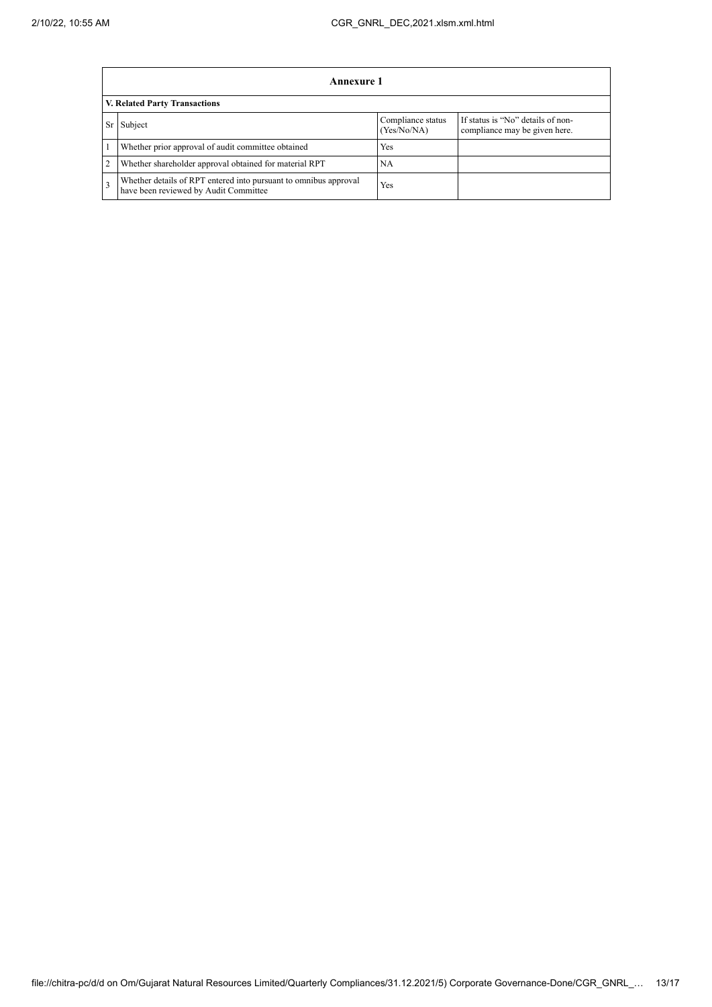|                                      | Annexure 1                                                                                                |                                  |                                                                    |  |  |  |
|--------------------------------------|-----------------------------------------------------------------------------------------------------------|----------------------------------|--------------------------------------------------------------------|--|--|--|
| <b>V. Related Party Transactions</b> |                                                                                                           |                                  |                                                                    |  |  |  |
| Sr                                   | Subject                                                                                                   | Compliance status<br>(Yes/No/NA) | If status is "No" details of non-<br>compliance may be given here. |  |  |  |
|                                      | Whether prior approval of audit committee obtained                                                        | Yes                              |                                                                    |  |  |  |
|                                      | Whether shareholder approval obtained for material RPT                                                    | NА                               |                                                                    |  |  |  |
|                                      | Whether details of RPT entered into pursuant to omnibus approval<br>have been reviewed by Audit Committee | Yes                              |                                                                    |  |  |  |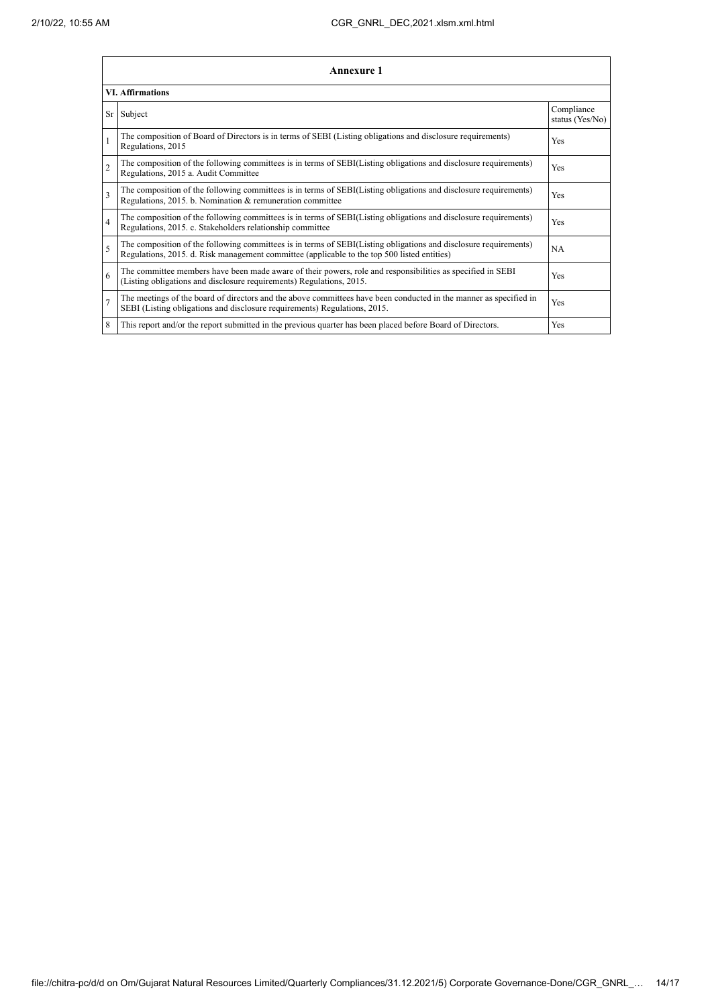|                         | <b>Annexure 1</b>                                                                                                                                                                                               |     |  |  |  |  |  |
|-------------------------|-----------------------------------------------------------------------------------------------------------------------------------------------------------------------------------------------------------------|-----|--|--|--|--|--|
| <b>VI. Affirmations</b> |                                                                                                                                                                                                                 |     |  |  |  |  |  |
|                         | Sr Subject                                                                                                                                                                                                      |     |  |  |  |  |  |
|                         | The composition of Board of Directors is in terms of SEBI (Listing obligations and disclosure requirements)<br>Regulations, 2015                                                                                |     |  |  |  |  |  |
| $\overline{2}$          | The composition of the following committees is in terms of SEBI(Listing obligations and disclosure requirements)<br>Regulations, 2015 a. Audit Committee                                                        | Yes |  |  |  |  |  |
| $\overline{\mathbf{3}}$ | The composition of the following committees is in terms of SEBI(Listing obligations and disclosure requirements)<br>Regulations, 2015. b. Nomination & remuneration committee                                   | Yes |  |  |  |  |  |
| $\overline{4}$          | The composition of the following committees is in terms of SEBI(Listing obligations and disclosure requirements)<br>Regulations, 2015. c. Stakeholders relationship committee                                   | Yes |  |  |  |  |  |
| 5                       | The composition of the following committees is in terms of SEBI(Listing obligations and disclosure requirements)<br>Regulations, 2015. d. Risk management committee (applicable to the top 500 listed entities) | NA  |  |  |  |  |  |
| 6                       | The committee members have been made aware of their powers, role and responsibilities as specified in SEBI<br>(Listing obligations and disclosure requirements) Regulations, 2015.                              | Yes |  |  |  |  |  |
| $\overline{7}$          | The meetings of the board of directors and the above committees have been conducted in the manner as specified in<br>Yes<br>SEBI (Listing obligations and disclosure requirements) Regulations, 2015.           |     |  |  |  |  |  |
| 8                       | This report and/or the report submitted in the previous quarter has been placed before Board of Directors.                                                                                                      | Yes |  |  |  |  |  |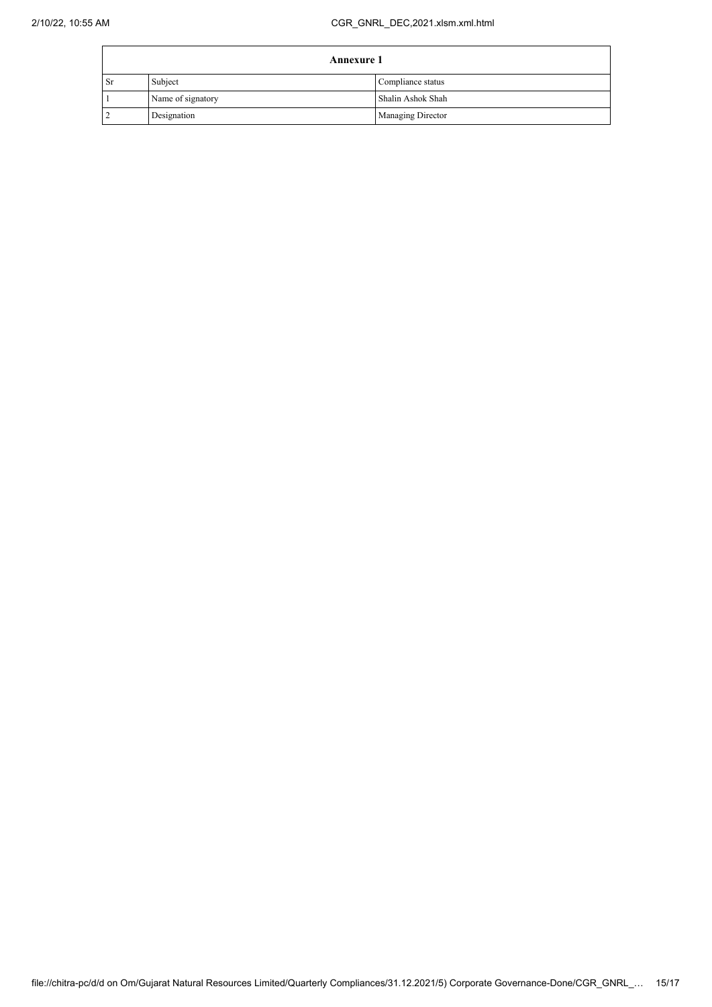|      | <b>Annexure 1</b> |                          |  |
|------|-------------------|--------------------------|--|
| . Sr | Subject           | Compliance status        |  |
|      | Name of signatory | Shalin Ashok Shah        |  |
|      | Designation       | <b>Managing Director</b> |  |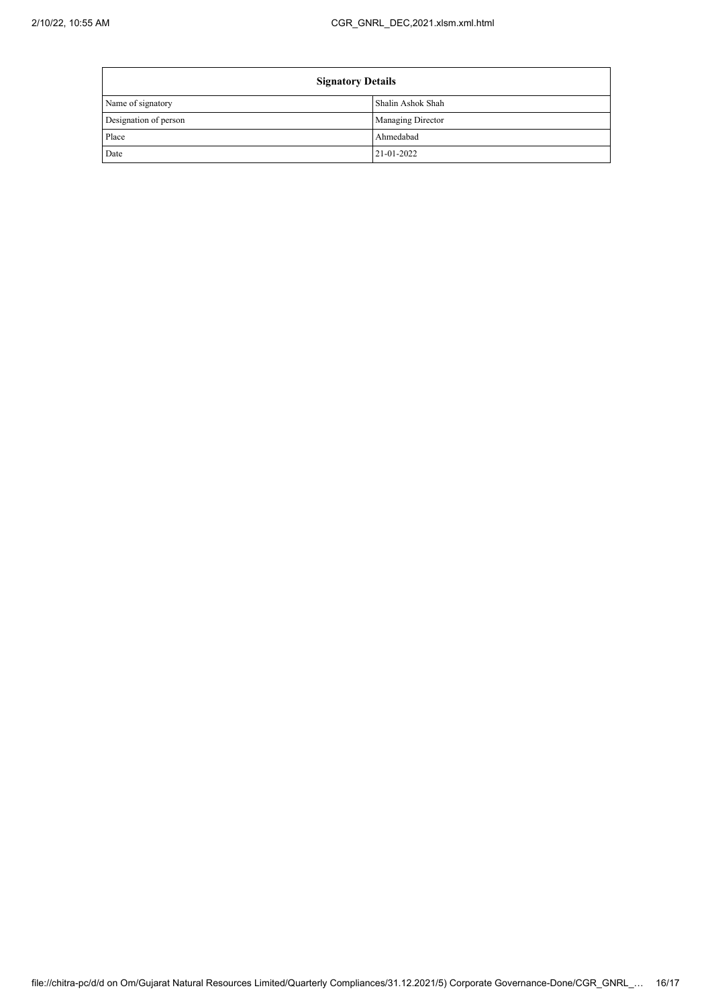$\mathbf{r}$ 

| <b>Signatory Details</b> |                   |  |
|--------------------------|-------------------|--|
| Name of signatory        | Shalin Ashok Shah |  |
| Designation of person    | Managing Director |  |
| Place                    | Ahmedabad         |  |
| Date                     | 21-01-2022        |  |